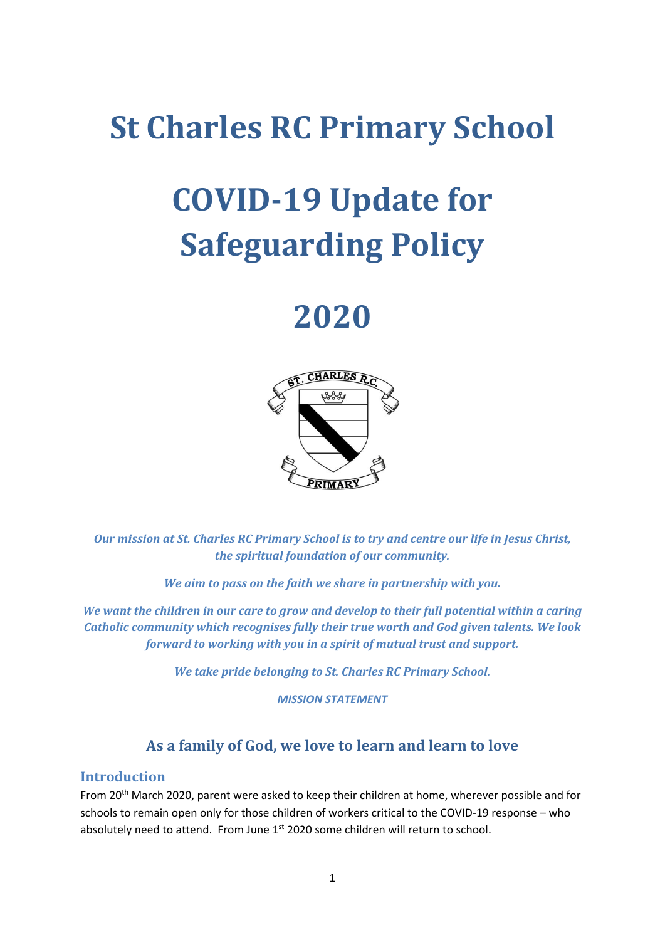### **St Charles RC Primary School**

# **COVID-19 Update for Safeguarding Policy**

## **2020**



*Our mission at St. Charles RC Primary School is to try and centre our life in Jesus Christ, the spiritual foundation of our community.*

*We aim to pass on the faith we share in partnership with you.*

*We want the children in our care to grow and develop to their full potential within a caring Catholic community which recognises fully their true worth and God given talents. We look forward to working with you in a spirit of mutual trust and support.*

*We take pride belonging to St. Charles RC Primary School.*

*MISSION STATEMENT*

### **As a family of God, we love to learn and learn to love**

#### **Introduction**

From 20<sup>th</sup> March 2020, parent were asked to keep their children at home, wherever possible and for schools to remain open only for those children of workers critical to the COVID-19 response – who absolutely need to attend. From June 1<sup>st</sup> 2020 some children will return to school.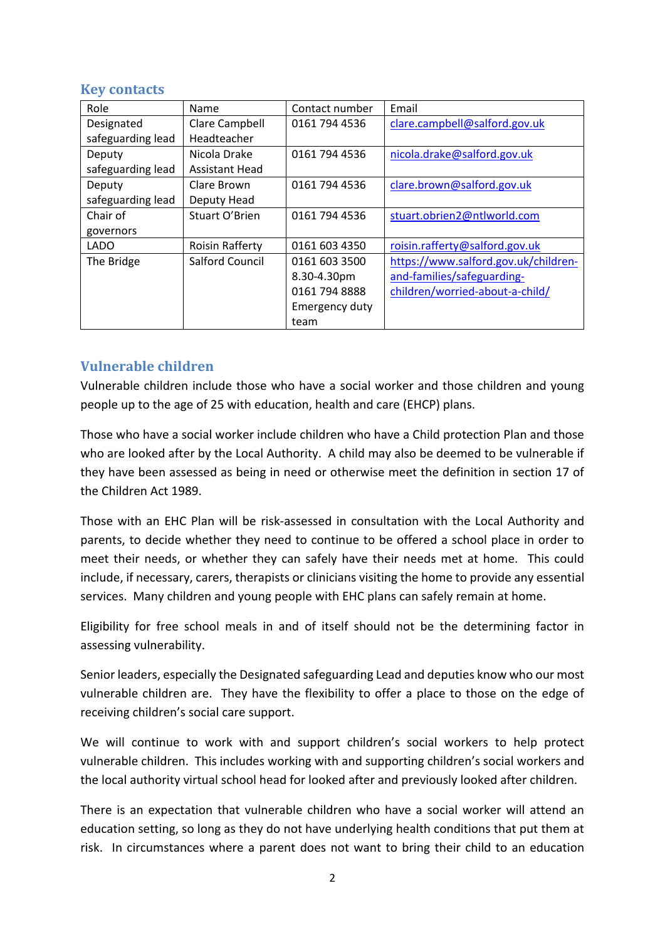#### **Key contacts**

| Role              | Name                   | Contact number | Email                                |
|-------------------|------------------------|----------------|--------------------------------------|
| Designated        | Clare Campbell         | 0161 794 4536  | clare.campbell@salford.gov.uk        |
| safeguarding lead | Headteacher            |                |                                      |
| Deputy            | Nicola Drake           | 0161 794 4536  | nicola.drake@salford.gov.uk          |
| safeguarding lead | <b>Assistant Head</b>  |                |                                      |
| Deputy            | Clare Brown            | 0161 794 4536  | clare.brown@salford.gov.uk           |
| safeguarding lead | Deputy Head            |                |                                      |
| Chair of          | Stuart O'Brien         | 0161 794 4536  | stuart.obrien2@ntlworld.com          |
| governors         |                        |                |                                      |
| <b>LADO</b>       | <b>Roisin Rafferty</b> | 0161 603 4350  | roisin.rafferty@salford.gov.uk       |
| The Bridge        | <b>Salford Council</b> | 0161 603 3500  | https://www.salford.gov.uk/children- |
|                   |                        | 8.30-4.30pm    | and-families/safeguarding-           |
|                   |                        | 0161 794 8888  | children/worried-about-a-child/      |
|                   |                        | Emergency duty |                                      |
|                   |                        | team           |                                      |

#### **Vulnerable children**

Vulnerable children include those who have a social worker and those children and young people up to the age of 25 with education, health and care (EHCP) plans.

Those who have a social worker include children who have a Child protection Plan and those who are looked after by the Local Authority. A child may also be deemed to be vulnerable if they have been assessed as being in need or otherwise meet the definition in section 17 of the Children Act 1989.

Those with an EHC Plan will be risk-assessed in consultation with the Local Authority and parents, to decide whether they need to continue to be offered a school place in order to meet their needs, or whether they can safely have their needs met at home. This could include, if necessary, carers, therapists or clinicians visiting the home to provide any essential services. Many children and young people with EHC plans can safely remain at home.

Eligibility for free school meals in and of itself should not be the determining factor in assessing vulnerability.

Senior leaders, especially the Designated safeguarding Lead and deputies know who our most vulnerable children are. They have the flexibility to offer a place to those on the edge of receiving children's social care support.

We will continue to work with and support children's social workers to help protect vulnerable children. This includes working with and supporting children's social workers and the local authority virtual school head for looked after and previously looked after children.

There is an expectation that vulnerable children who have a social worker will attend an education setting, so long as they do not have underlying health conditions that put them at risk. In circumstances where a parent does not want to bring their child to an education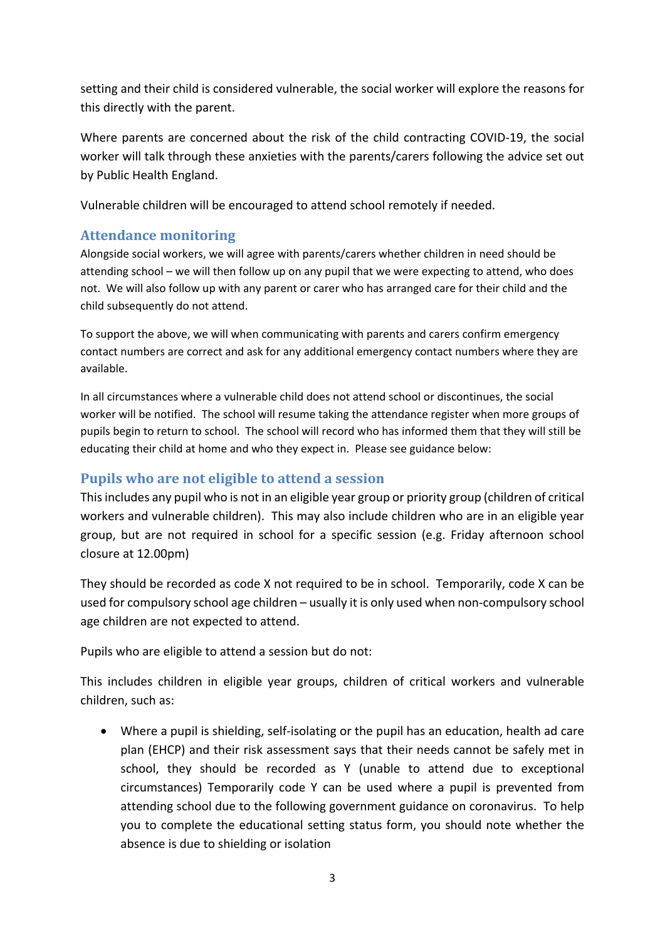setting and their child is considered vulnerable, the social worker will explore the reasons for this directly with the parent.

Where parents are concerned about the risk of the child contracting COVID-19, the social worker will talk through these anxieties with the parents/carers following the advice set out by Public Health England.

Vulnerable children will be encouraged to attend school remotely if needed.

#### **Attendance monitoring**

Alongside social workers, we will agree with parents/carers whether children in need should be attending school – we will then follow up on any pupil that we were expecting to attend, who does not. We will also follow up with any parent or carer who has arranged care for their child and the child subsequently do not attend.

To support the above, we will when communicating with parents and carers confirm emergency contact numbers are correct and ask for any additional emergency contact numbers where they are available.

In all circumstances where a vulnerable child does not attend school or discontinues, the social worker will be notified. The school will resume taking the attendance register when more groups of pupils begin to return to school. The school will record who has informed them that they will still be educating their child at home and who they expect in. Please see guidance below:

#### **Pupils who are not eligible to attend a session**

This includes any pupil who is not in an eligible year group or priority group (children of critical workers and vulnerable children). This may also include children who are in an eligible year group, but are not required in school for a specific session (e.g. Friday afternoon school closure at 12.00pm)

They should be recorded as code X not required to be in school. Temporarily, code X can be used for compulsory school age children – usually it is only used when non-compulsory school age children are not expected to attend.

Pupils who are eligible to attend a session but do not:

This includes children in eligible year groups, children of critical workers and vulnerable children, such as:

• Where a pupil is shielding, self-isolating or the pupil has an education, health ad care plan (EHCP) and their risk assessment says that their needs cannot be safely met in school, they should be recorded as Y (unable to attend due to exceptional circumstances) Temporarily code Y can be used where a pupil is prevented from attending school due to the following government guidance on coronavirus. To help you to complete the educational setting status form, you should note whether the absence is due to shielding or isolation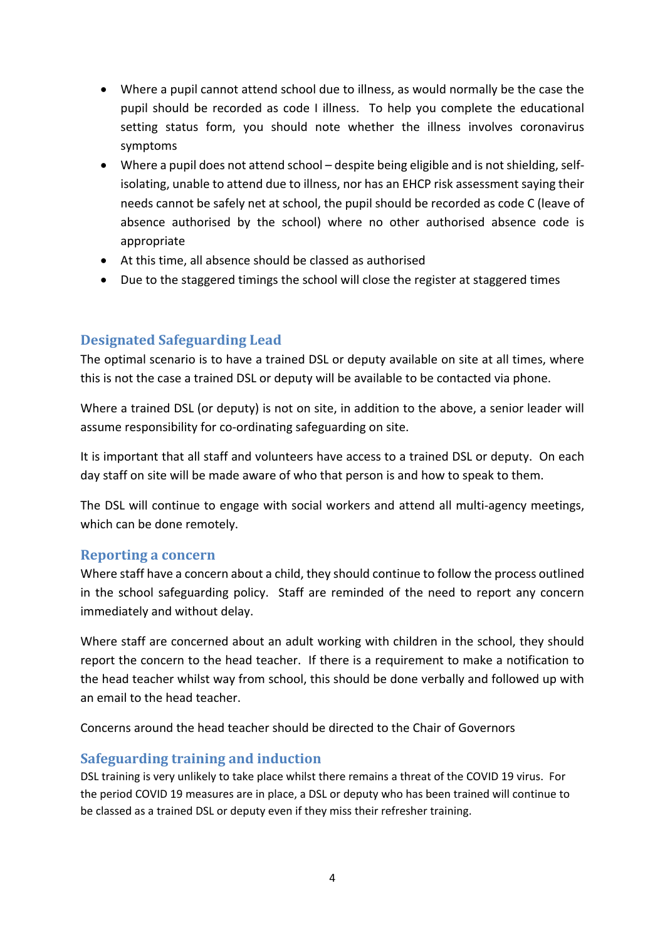- Where a pupil cannot attend school due to illness, as would normally be the case the pupil should be recorded as code I illness. To help you complete the educational setting status form, you should note whether the illness involves coronavirus symptoms
- Where a pupil does not attend school despite being eligible and is not shielding, selfisolating, unable to attend due to illness, nor has an EHCP risk assessment saying their needs cannot be safely net at school, the pupil should be recorded as code C (leave of absence authorised by the school) where no other authorised absence code is appropriate
- At this time, all absence should be classed as authorised
- Due to the staggered timings the school will close the register at staggered times

#### **Designated Safeguarding Lead**

The optimal scenario is to have a trained DSL or deputy available on site at all times, where this is not the case a trained DSL or deputy will be available to be contacted via phone.

Where a trained DSL (or deputy) is not on site, in addition to the above, a senior leader will assume responsibility for co-ordinating safeguarding on site.

It is important that all staff and volunteers have access to a trained DSL or deputy. On each day staff on site will be made aware of who that person is and how to speak to them.

The DSL will continue to engage with social workers and attend all multi-agency meetings, which can be done remotely.

#### **Reporting a concern**

Where staff have a concern about a child, they should continue to follow the process outlined in the school safeguarding policy. Staff are reminded of the need to report any concern immediately and without delay.

Where staff are concerned about an adult working with children in the school, they should report the concern to the head teacher. If there is a requirement to make a notification to the head teacher whilst way from school, this should be done verbally and followed up with an email to the head teacher.

Concerns around the head teacher should be directed to the Chair of Governors

#### **Safeguarding training and induction**

DSL training is very unlikely to take place whilst there remains a threat of the COVID 19 virus. For the period COVID 19 measures are in place, a DSL or deputy who has been trained will continue to be classed as a trained DSL or deputy even if they miss their refresher training.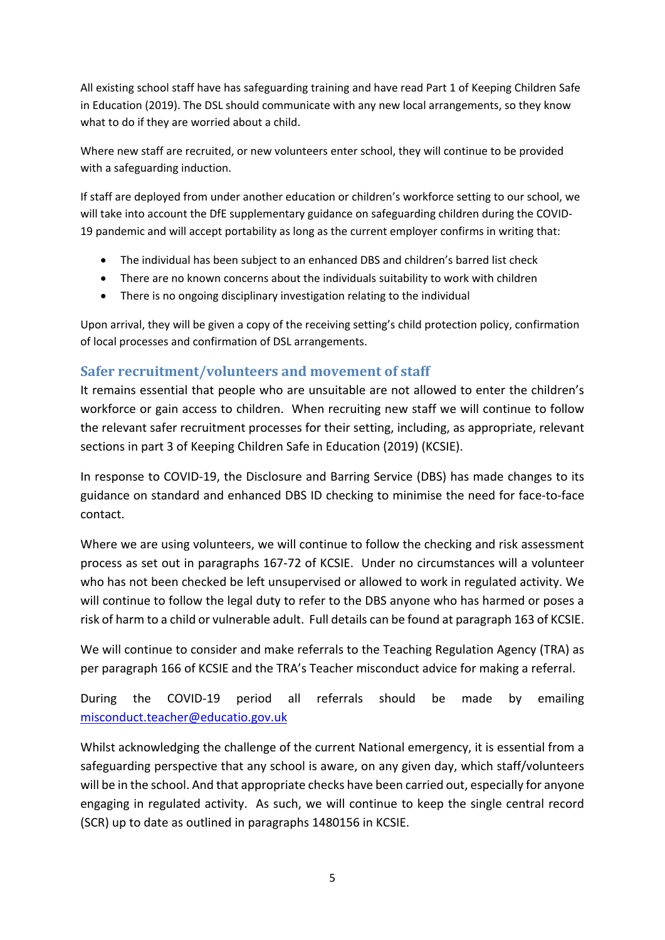All existing school staff have has safeguarding training and have read Part 1 of Keeping Children Safe in Education (2019). The DSL should communicate with any new local arrangements, so they know what to do if they are worried about a child.

Where new staff are recruited, or new volunteers enter school, they will continue to be provided with a safeguarding induction.

If staff are deployed from under another education or children's workforce setting to our school, we will take into account the DfE supplementary guidance on safeguarding children during the COVID-19 pandemic and will accept portability as long as the current employer confirms in writing that:

- The individual has been subject to an enhanced DBS and children's barred list check
- There are no known concerns about the individuals suitability to work with children
- There is no ongoing disciplinary investigation relating to the individual

Upon arrival, they will be given a copy of the receiving setting's child protection policy, confirmation of local processes and confirmation of DSL arrangements.

#### **Safer recruitment/volunteers and movement of staff**

It remains essential that people who are unsuitable are not allowed to enter the children's workforce or gain access to children. When recruiting new staff we will continue to follow the relevant safer recruitment processes for their setting, including, as appropriate, relevant sections in part 3 of Keeping Children Safe in Education (2019) (KCSIE).

In response to COVID-19, the Disclosure and Barring Service (DBS) has made changes to its guidance on standard and enhanced DBS ID checking to minimise the need for face-to-face contact.

Where we are using volunteers, we will continue to follow the checking and risk assessment process as set out in paragraphs 167-72 of KCSIE. Under no circumstances will a volunteer who has not been checked be left unsupervised or allowed to work in regulated activity. We will continue to follow the legal duty to refer to the DBS anyone who has harmed or poses a risk of harm to a child or vulnerable adult. Full details can be found at paragraph 163 of KCSIE.

We will continue to consider and make referrals to the Teaching Regulation Agency (TRA) as per paragraph 166 of KCSIE and the TRA's Teacher misconduct advice for making a referral.

During the COVID-19 period all referrals should be made by emailing [misconduct.teacher@educatio.gov.uk](mailto:misconduct.teacher@educatio.gov.uk)

Whilst acknowledging the challenge of the current National emergency, it is essential from a safeguarding perspective that any school is aware, on any given day, which staff/volunteers will be in the school. And that appropriate checks have been carried out, especially for anyone engaging in regulated activity. As such, we will continue to keep the single central record (SCR) up to date as outlined in paragraphs 1480156 in KCSIE.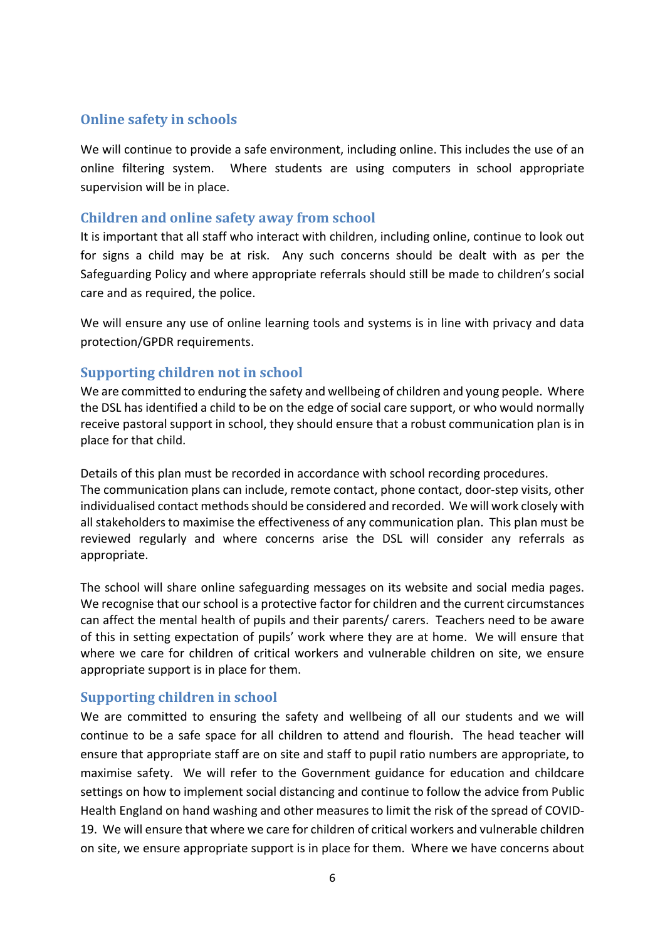#### **Online safety in schools**

We will continue to provide a safe environment, including online. This includes the use of an online filtering system. Where students are using computers in school appropriate supervision will be in place.

#### **Children and online safety away from school**

It is important that all staff who interact with children, including online, continue to look out for signs a child may be at risk. Any such concerns should be dealt with as per the Safeguarding Policy and where appropriate referrals should still be made to children's social care and as required, the police.

We will ensure any use of online learning tools and systems is in line with privacy and data protection/GPDR requirements.

#### **Supporting children not in school**

We are committed to enduring the safety and wellbeing of children and young people. Where the DSL has identified a child to be on the edge of social care support, or who would normally receive pastoral support in school, they should ensure that a robust communication plan is in place for that child.

Details of this plan must be recorded in accordance with school recording procedures. The communication plans can include, remote contact, phone contact, door-step visits, other individualised contact methods should be considered and recorded. We will work closely with all stakeholders to maximise the effectiveness of any communication plan. This plan must be reviewed regularly and where concerns arise the DSL will consider any referrals as appropriate.

The school will share online safeguarding messages on its website and social media pages. We recognise that our school is a protective factor for children and the current circumstances can affect the mental health of pupils and their parents/ carers. Teachers need to be aware of this in setting expectation of pupils' work where they are at home. We will ensure that where we care for children of critical workers and vulnerable children on site, we ensure appropriate support is in place for them.

#### **Supporting children in school**

We are committed to ensuring the safety and wellbeing of all our students and we will continue to be a safe space for all children to attend and flourish. The head teacher will ensure that appropriate staff are on site and staff to pupil ratio numbers are appropriate, to maximise safety. We will refer to the Government guidance for education and childcare settings on how to implement social distancing and continue to follow the advice from Public Health England on hand washing and other measures to limit the risk of the spread of COVID-19. We will ensure that where we care for children of critical workers and vulnerable children on site, we ensure appropriate support is in place for them. Where we have concerns about